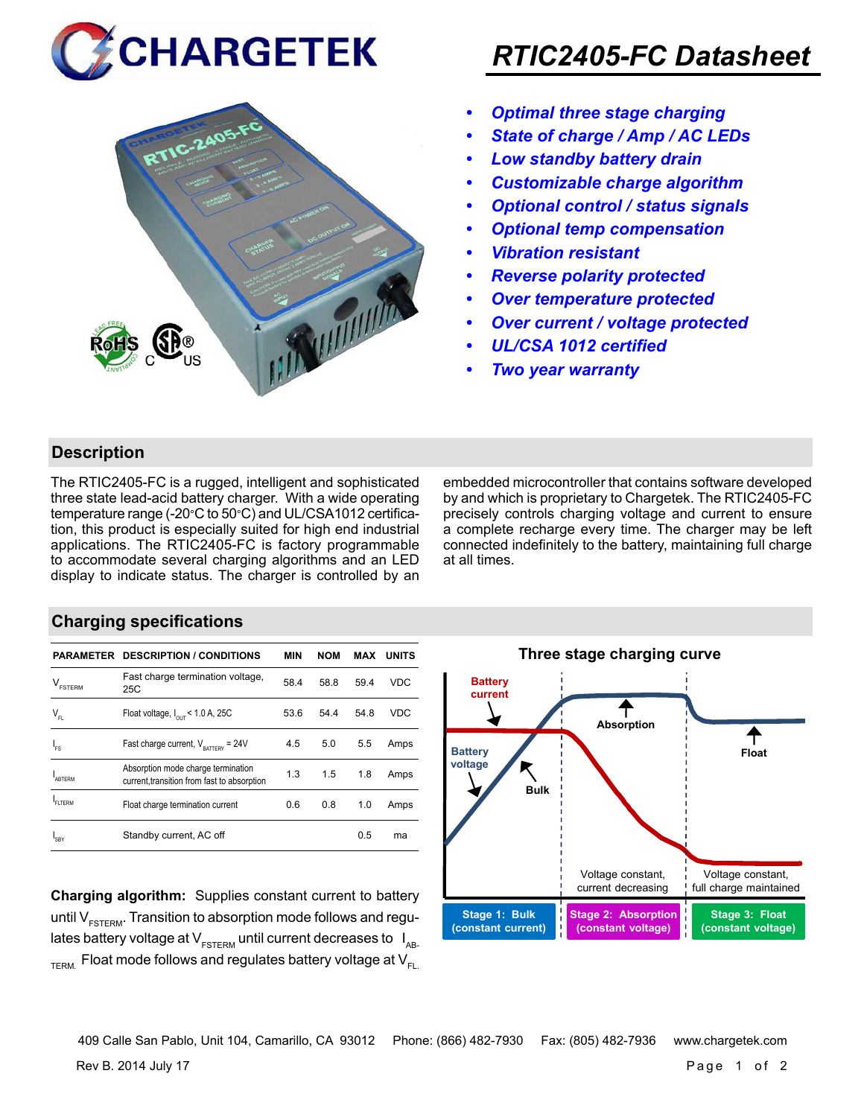



## *RTIC2405-FC Datasheet*

- *• Optimal three stage charging*
- *• State of charge / Amp / AC LEDs*
- *• Low standby battery drain*
- *• Customizable charge algorithm*
- *• Optional control / status signals*
- *• Optional temp compensation*
- *• Vibration resistant*
- *• Reverse polarity protected*
- *• Over temperature protected*
- *• Over current / voltage protected*
- *• UL/CSA 1012 certified*
- *• Two year warranty*

#### **Description**

The RTIC2405-FC is a rugged, intelligent and sophisticated three state lead-acid battery charger. With a wide operating temperature range (-20°C to 50°C) and UL/CSA1012 certification, this product is especially suited for high end industrial applications. The RTIC2405-FC is factory programmable to accommodate several charging algorithms and an LED display to indicate status. The charger is controlled by an embedded microcontroller that contains software developed by and which is proprietary to Chargetek. The RTIC2405-FC precisely controls charging voltage and current to ensure a complete recharge every time. The charger may be left connected indefinitely to the battery, maintaining full charge at all times.

#### **Charging specifications**

|                                      | <b>PARAMETER DESCRIPTION / CONDITIONS</b>                                         | MIN  | <b>NOM</b> | MAX  | <b>UNITS</b> |
|--------------------------------------|-----------------------------------------------------------------------------------|------|------------|------|--------------|
| $\mathsf{V}_{\texttt{\tiny FSTERN}}$ | Fast charge termination voltage,<br>25C                                           | 58.4 | 58.8       | 59.4 | <b>VDC</b>   |
| $V_{FL}$                             | Float voltage, $I_{\text{out}}$ < 1.0 A, 25C                                      | 53.6 | 54.4       | 54.8 | <b>VDC</b>   |
| $I_{FS}$                             | Fast charge current, $V_{\text{partrev}} = 24V$                                   | 4.5  | 5.0        | 5.5  | Amps         |
| <b>ARTERM</b>                        | Absorption mode charge termination<br>current, transition from fast to absorption | 1.3  | 1.5        | 1.8  | Amps         |
| FI TFRM                              | Float charge termination current                                                  | 0.6  | 0.8        | 1.0  | Amps         |
| SRY                                  | Standby current, AC off                                                           |      |            | 0.5  | ma           |

**Charging algorithm:** Supplies constant current to battery until  $V_{ESTFRM}$ . Transition to absorption mode follows and regulates battery voltage at  $V_{ESTERM}$  until current decreases to  $I_{AR}$  $T_{\text{ERM}}$  Float mode follows and regulates battery voltage at  $V_{\text{F1}}$ 



Rev B. 2014 July 17 Page 1 of 2 409 Calle San Pablo, Unit 104, Camarillo, CA 93012 Phone: (866) 482-7930 Fax: (805) 482-7936 www.chargetek.com